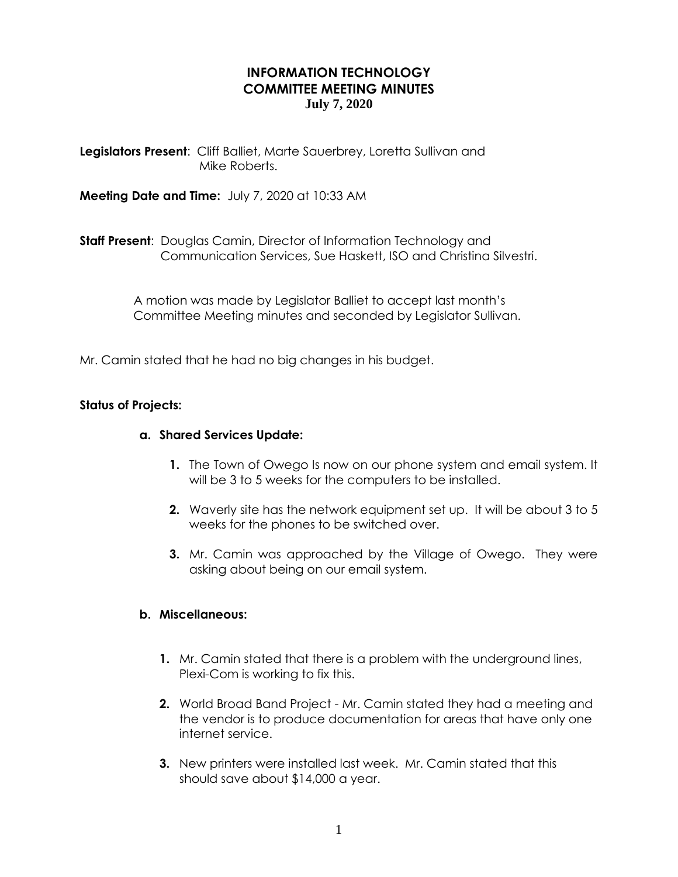# **INFORMATION TECHNOLOGY COMMITTEE MEETING MINUTES July 7, 2020**

**Legislators Present**: Cliff Balliet, Marte Sauerbrey, Loretta Sullivan and Mike Roberts.

**Meeting Date and Time:** July 7, 2020 at 10:33 AM

**Staff Present**: Douglas Camin, Director of Information Technology and Communication Services, Sue Haskett, ISO and Christina Silvestri.

> A motion was made by Legislator Balliet to accept last month's Committee Meeting minutes and seconded by Legislator Sullivan.

Mr. Camin stated that he had no big changes in his budget.

## **Status of Projects:**

# **a. Shared Services Update:**

- **1.** The Town of Owego Is now on our phone system and email system. It will be 3 to 5 weeks for the computers to be installed.
- **2.** Waverly site has the network equipment set up. It will be about 3 to 5 weeks for the phones to be switched over.
- **3.** Mr. Camin was approached by the Village of Owego. They were asking about being on our email system.

## **b. Miscellaneous:**

- **1.** Mr. Camin stated that there is a problem with the underground lines, Plexi-Com is working to fix this.
- **2.** World Broad Band Project Mr. Camin stated they had a meeting and the vendor is to produce documentation for areas that have only one internet service.
- **3.** New printers were installed last week. Mr. Camin stated that this should save about \$14,000 a year.